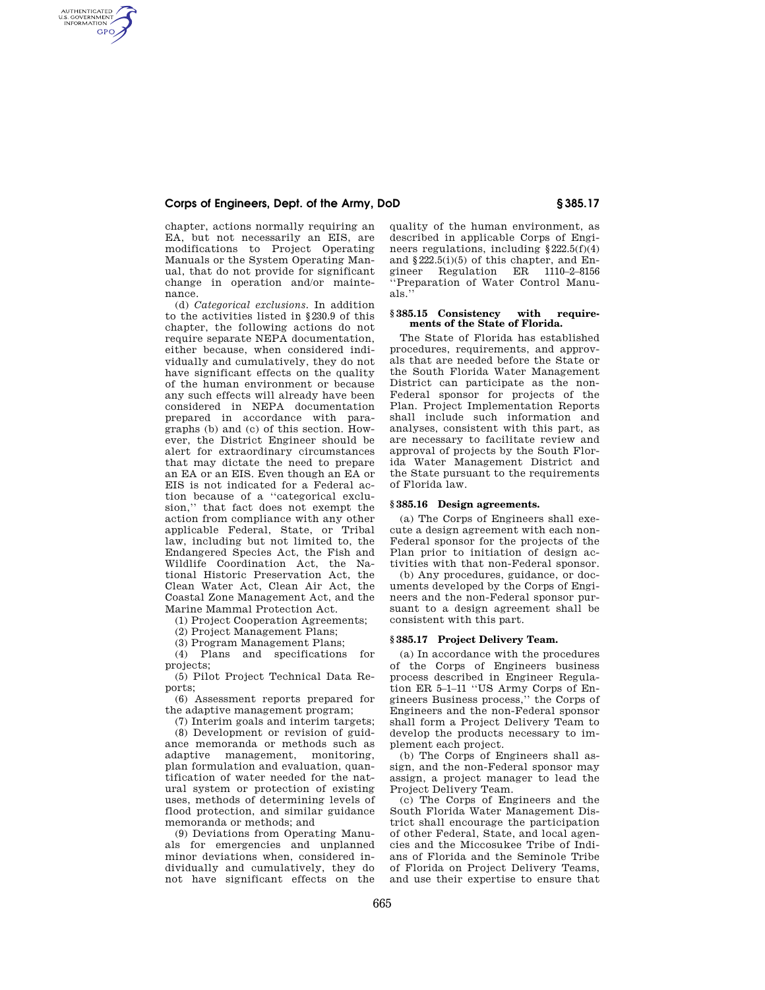# **Corps of Engineers, Dept. of the Army, DoD § 385.17**

AUTHENTICATED<br>U.S. GOVERNMENT<br>INFORMATION **GPO** 

> chapter, actions normally requiring an EA, but not necessarily an EIS, are modifications to Project Operating Manuals or the System Operating Manual, that do not provide for significant change in operation and/or maintenance.

> (d) *Categorical exclusions.* In addition to the activities listed in §230.9 of this chapter, the following actions do not require separate NEPA documentation, either because, when considered individually and cumulatively, they do not have significant effects on the quality of the human environment or because any such effects will already have been considered in NEPA documentation prepared in accordance with paragraphs (b) and (c) of this section. However, the District Engineer should be alert for extraordinary circumstances that may dictate the need to prepare an EA or an EIS. Even though an EA or EIS is not indicated for a Federal action because of a ''categorical exclusion,'' that fact does not exempt the action from compliance with any other applicable Federal, State, or Tribal law, including but not limited to, the Endangered Species Act, the Fish and Wildlife Coordination Act, the National Historic Preservation Act, the Clean Water Act, Clean Air Act, the Coastal Zone Management Act, and the Marine Mammal Protection Act.

(1) Project Cooperation Agreements;

(2) Project Management Plans;

(3) Program Management Plans;

(4) Plans and specifications for projects;

(5) Pilot Project Technical Data Reports;

(6) Assessment reports prepared for the adaptive management program;

(7) Interim goals and interim targets; (8) Development or revision of guidance memoranda or methods such as adaptive management, monitoring, plan formulation and evaluation, quantification of water needed for the natural system or protection of existing uses, methods of determining levels of flood protection, and similar guidance memoranda or methods; and

(9) Deviations from Operating Manuals for emergencies and unplanned minor deviations when, considered individually and cumulatively, they do not have significant effects on the quality of the human environment, as described in applicable Corps of Engineers regulations, including  $§222.5(f)(4)$ and §222.5(i)(5) of this chapter, and Engineer Regulation ER 1110–2–8156 ''Preparation of Water Control Manuals.''

### **§ 385.15 Consistency with requirements of the State of Florida.**

The State of Florida has established procedures, requirements, and approvals that are needed before the State or the South Florida Water Management District can participate as the non-Federal sponsor for projects of the Plan. Project Implementation Reports shall include such information and analyses, consistent with this part, as are necessary to facilitate review and approval of projects by the South Florida Water Management District and the State pursuant to the requirements of Florida law.

#### **§ 385.16 Design agreements.**

(a) The Corps of Engineers shall execute a design agreement with each non-Federal sponsor for the projects of the Plan prior to initiation of design activities with that non-Federal sponsor.

(b) Any procedures, guidance, or documents developed by the Corps of Engineers and the non-Federal sponsor pursuant to a design agreement shall be consistent with this part.

## **§ 385.17 Project Delivery Team.**

(a) In accordance with the procedures of the Corps of Engineers business process described in Engineer Regulation ER 5–1–11 ''US Army Corps of Engineers Business process,'' the Corps of Engineers and the non-Federal sponsor shall form a Project Delivery Team to develop the products necessary to implement each project.

(b) The Corps of Engineers shall assign, and the non-Federal sponsor may assign, a project manager to lead the Project Delivery Team.

(c) The Corps of Engineers and the South Florida Water Management District shall encourage the participation of other Federal, State, and local agencies and the Miccosukee Tribe of Indians of Florida and the Seminole Tribe of Florida on Project Delivery Teams, and use their expertise to ensure that